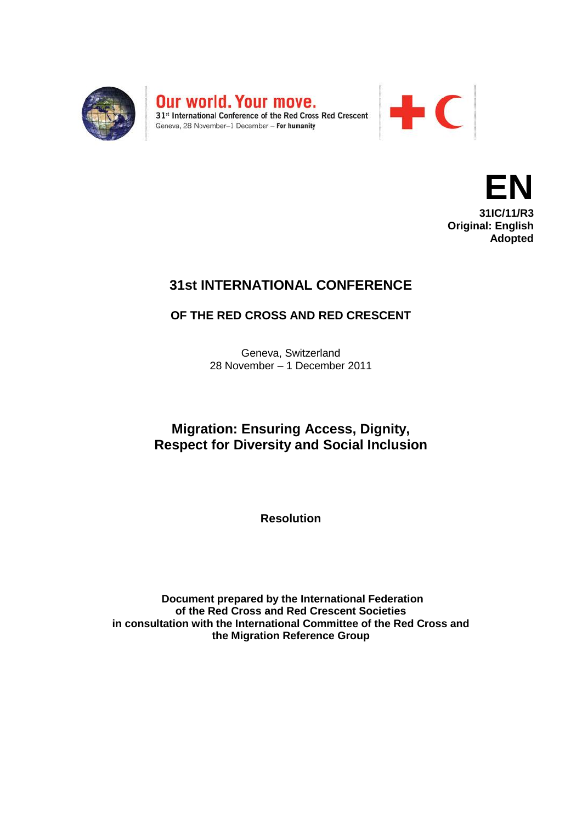







## **31st INTERNATIONAL CONFERENCE**

**OF THE RED CROSS AND RED CRESCENT**

Geneva, Switzerland 28 November – 1 December 2011

## **Migration: Ensuring Access, Dignity, Respect for Diversity and Social Inclusion**

**Resolution** 

**Document prepared by the International Federation of the Red Cross and Red Crescent Societies in consultation with the International Committee of the Red Cross and the Migration Reference Group**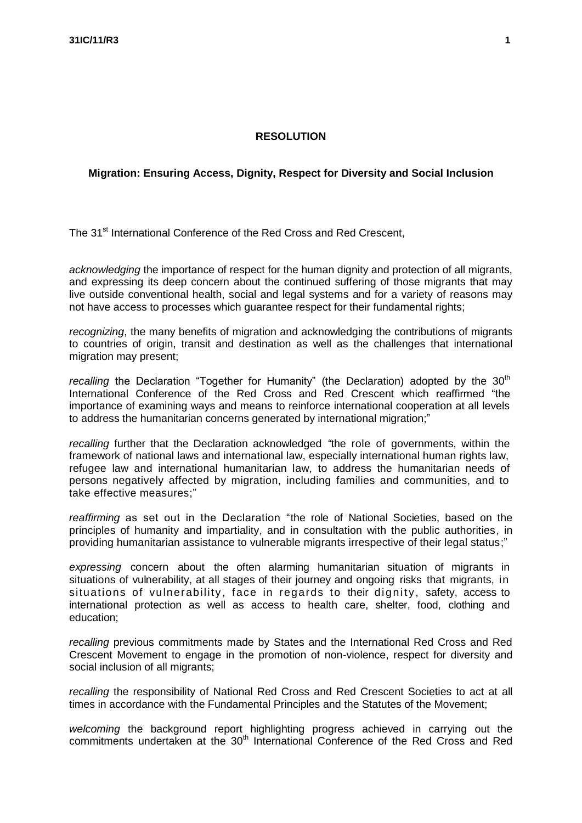## **RESOLUTION**

## **Migration: Ensuring Access, Dignity, Respect for Diversity and Social Inclusion**

The 31<sup>st</sup> International Conference of the Red Cross and Red Crescent,

*acknowledging* the importance of respect for the human dignity and protection of all migrants, and expressing its deep concern about the continued suffering of those migrants that may live outside conventional health, social and legal systems and for a variety of reasons may not have access to processes which quarantee respect for their fundamental rights;

*recognizing*, the many benefits of migration and acknowledging the contributions of migrants to countries of origin, transit and destination as well as the challenges that international migration may present;

*recalling* the Declaration "Together for Humanity" (the Declaration) adopted by the 30<sup>th</sup> International Conference of the Red Cross and Red Crescent which reaffirmed "the importance of examining ways and means to reinforce international cooperation at all levels to address the humanitarian concerns generated by international migration;"

*recalling* further that the Declaration acknowledged *"*the role of governments, within the framework of national laws and international law, especially international human rights law, refugee law and international humanitarian law, to address the humanitarian needs of persons negatively affected by migration, including families and communities, and to take effective measures;"

*reaffirming* as set out in the Declaration "the role of National Societies, based on the principles of humanity and impartiality, and in consultation with the public authorities, in providing humanitarian assistance to vulnerable migrants irrespective of their legal status;"

*expressing* concern about the often alarming humanitarian situation of migrants in situations of vulnerability, at all stages of their journey and ongoing risks that migrants, in situations of vulnerability, face in regards to their dignity, safety, access to international protection as well as access to health care, shelter, food, clothing and education;

*recalling* previous commitments made by States and the International Red Cross and Red Crescent Movement to engage in the promotion of non-violence, respect for diversity and social inclusion of all migrants;

*recalling* the responsibility of National Red Cross and Red Crescent Societies to act at all times in accordance with the Fundamental Principles and the Statutes of the Movement;

*welcoming* the background report highlighting progress achieved in carrying out the commitments undertaken at the 30<sup>th</sup> International Conference of the Red Cross and Red